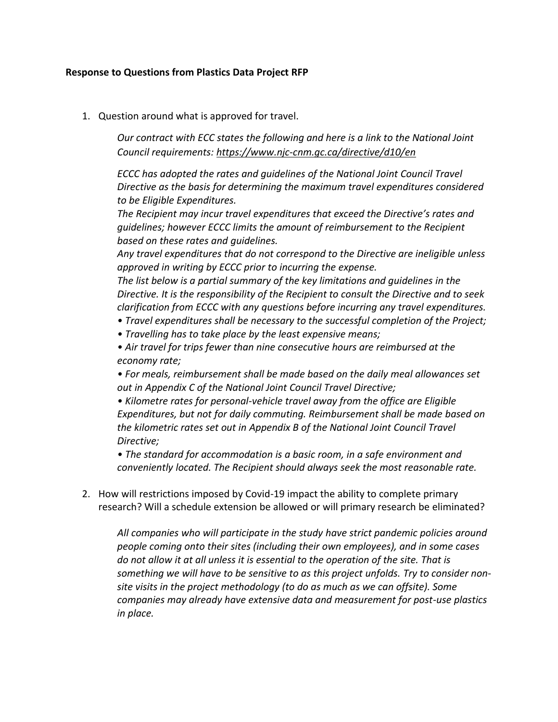## **Response to Questions from Plastics Data Project RFP**

1. Question around what is approved for travel.

*Our contract with ECC states the following and here is a link to the National Joint Council requirements:<https://www.njc-cnm.gc.ca/directive/d10/en>*

*ECCC has adopted the rates and guidelines of the National Joint Council Travel Directive as the basis for determining the maximum travel expenditures considered to be Eligible Expenditures.*

*The Recipient may incur travel expenditures that exceed the Directive's rates and guidelines; however ECCC limits the amount of reimbursement to the Recipient based on these rates and guidelines.*

*Any travel expenditures that do not correspond to the Directive are ineligible unless approved in writing by ECCC prior to incurring the expense.*

*The list below is a partial summary of the key limitations and guidelines in the Directive. It is the responsibility of the Recipient to consult the Directive and to seek clarification from ECCC with any questions before incurring any travel expenditures.*

- *Travel expenditures shall be necessary to the successful completion of the Project;*
- *Travelling has to take place by the least expensive means;*

*• Air travel for trips fewer than nine consecutive hours are reimbursed at the economy rate;*

*• For meals, reimbursement shall be made based on the daily meal allowances set out in Appendix C of the National Joint Council Travel Directive;*

*• Kilometre rates for personal-vehicle travel away from the office are Eligible Expenditures, but not for daily commuting. Reimbursement shall be made based on the kilometric rates set out in Appendix B of the National Joint Council Travel Directive;*

*• The standard for accommodation is a basic room, in a safe environment and conveniently located. The Recipient should always seek the most reasonable rate.*

2. How will restrictions imposed by Covid-19 impact the ability to complete primary research? Will a schedule extension be allowed or will primary research be eliminated?

*All companies who will participate in the study have strict pandemic policies around people coming onto their sites (including their own employees), and in some cases do not allow it at all unless it is essential to the operation of the site. That is something we will have to be sensitive to as this project unfolds. Try to consider nonsite visits in the project methodology (to do as much as we can offsite). Some companies may already have extensive data and measurement for post-use plastics in place.*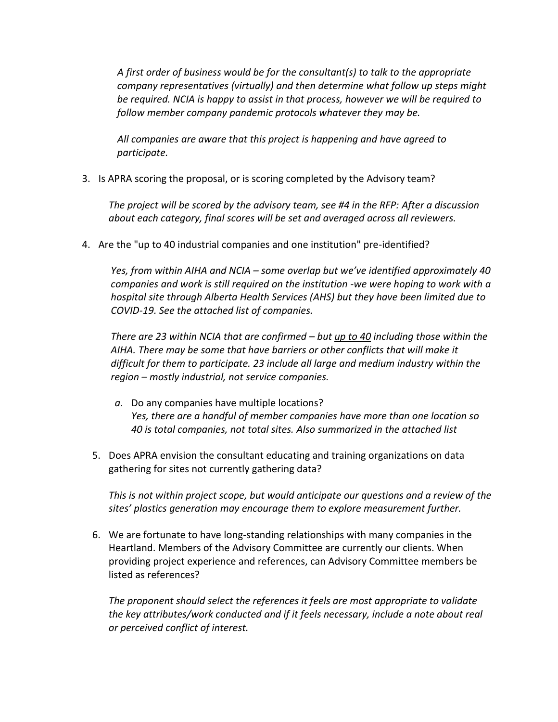*A first order of business would be for the consultant(s) to talk to the appropriate company representatives (virtually) and then determine what follow up steps might be required. NCIA is happy to assist in that process, however we will be required to follow member company pandemic protocols whatever they may be.*

*All companies are aware that this project is happening and have agreed to participate.*

3. Is APRA scoring the proposal, or is scoring completed by the Advisory team?

*The project will be scored by the advisory team, see #4 in the RFP: After a discussion about each category, final scores will be set and averaged across all reviewers.*

4. Are the "up to 40 industrial companies and one institution" pre-identified?

*Yes, from within AIHA and NCIA – some overlap but we've identified approximately 40 companies and work is still required on the institution -we were hoping to work with a hospital site through Alberta Health Services (AHS) but they have been limited due to COVID-19. See the attached list of companies.*

*There are 23 within NCIA that are confirmed – but up to 40 including those within the AIHA. There may be some that have barriers or other conflicts that will make it difficult for them to participate. 23 include all large and medium industry within the region – mostly industrial, not service companies.* 

- *a.* Do any companies have multiple locations? *Yes, there are a handful of member companies have more than one location so 40 is total companies, not total sites. Also summarized in the attached list*
- 5. Does APRA envision the consultant educating and training organizations on data gathering for sites not currently gathering data?

*This is not within project scope, but would anticipate our questions and a review of the sites' plastics generation may encourage them to explore measurement further.*

6. We are fortunate to have long-standing relationships with many companies in the Heartland. Members of the Advisory Committee are currently our clients. When providing project experience and references, can Advisory Committee members be listed as references?

*The proponent should select the references it feels are most appropriate to validate the key attributes/work conducted and if it feels necessary, include a note about real or perceived conflict of interest.*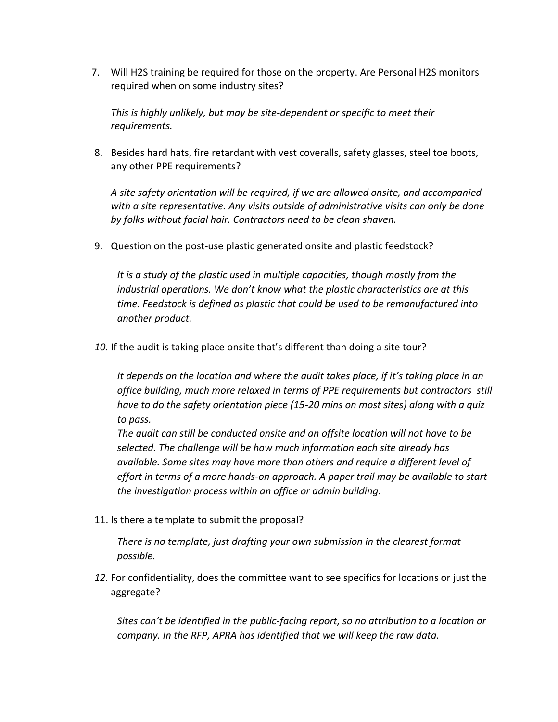7. Will H2S training be required for those on the property. Are Personal H2S monitors required when on some industry sites?

*This is highly unlikely, but may be site-dependent or specific to meet their requirements.* 

8. Besides hard hats, fire retardant with vest coveralls, safety glasses, steel toe boots, any other PPE requirements?

*A site safety orientation will be required, if we are allowed onsite, and accompanied with a site representative. Any visits outside of administrative visits can only be done by folks without facial hair. Contractors need to be clean shaven.*

9. Question on the post-use plastic generated onsite and plastic feedstock?

*It is a study of the plastic used in multiple capacities, though mostly from the industrial operations. We don't know what the plastic characteristics are at this time. Feedstock is defined as plastic that could be used to be remanufactured into another product.* 

*10.* If the audit is taking place onsite that's different than doing a site tour?

*It depends on the location and where the audit takes place, if it's taking place in an office building, much more relaxed in terms of PPE requirements but contractors still have to do the safety orientation piece (15-20 mins on most sites) along with a quiz to pass.* 

*The audit can still be conducted onsite and an offsite location will not have to be selected. The challenge will be how much information each site already has available. Some sites may have more than others and require a different level of effort in terms of a more hands-on approach. A paper trail may be available to start the investigation process within an office or admin building.* 

11. Is there a template to submit the proposal?

*There is no template, just drafting your own submission in the clearest format possible.*

*12.* For confidentiality, does the committee want to see specifics for locations or just the aggregate?

*Sites can't be identified in the public-facing report, so no attribution to a location or company. In the RFP, APRA has identified that we will keep the raw data.*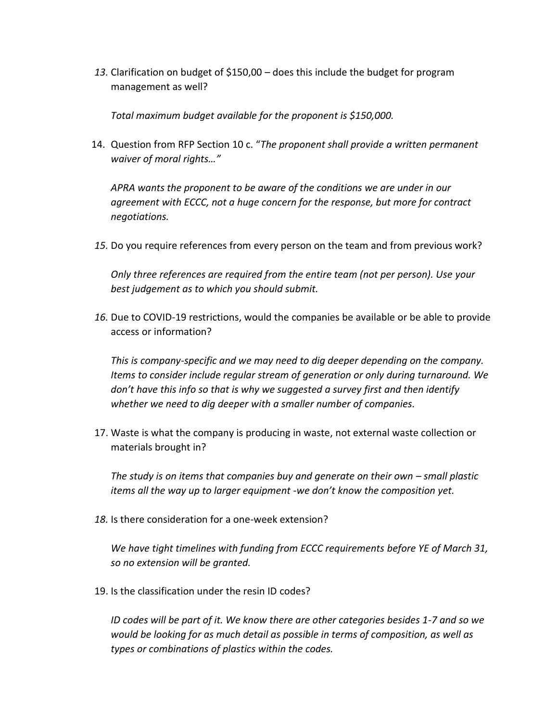*13.* Clarification on budget of \$150,00 – does this include the budget for program management as well?

*Total maximum budget available for the proponent is \$150,000.*

14. Question from RFP Section 10 c. "*The proponent shall provide a written permanent waiver of moral rights…"*

*APRA wants the proponent to be aware of the conditions we are under in our agreement with ECCC, not a huge concern for the response, but more for contract negotiations.*

*15.* Do you require references from every person on the team and from previous work?

*Only three references are required from the entire team (not per person). Use your best judgement as to which you should submit.*

*16.* Due to COVID-19 restrictions, would the companies be available or be able to provide access or information?

*This is company-specific and we may need to dig deeper depending on the company. Items to consider include regular stream of generation or only during turnaround. We don't have this info so that is why we suggested a survey first and then identify whether we need to dig deeper with a smaller number of companies.*

17. Waste is what the company is producing in waste, not external waste collection or materials brought in?

*The study is on items that companies buy and generate on their own – small plastic items all the way up to larger equipment -we don't know the composition yet.*

*18.* Is there consideration for a one-week extension?

*We have tight timelines with funding from ECCC requirements before YE of March 31, so no extension will be granted.* 

19. Is the classification under the resin ID codes?

*ID codes will be part of it. We know there are other categories besides 1-7 and so we would be looking for as much detail as possible in terms of composition, as well as types or combinations of plastics within the codes.*